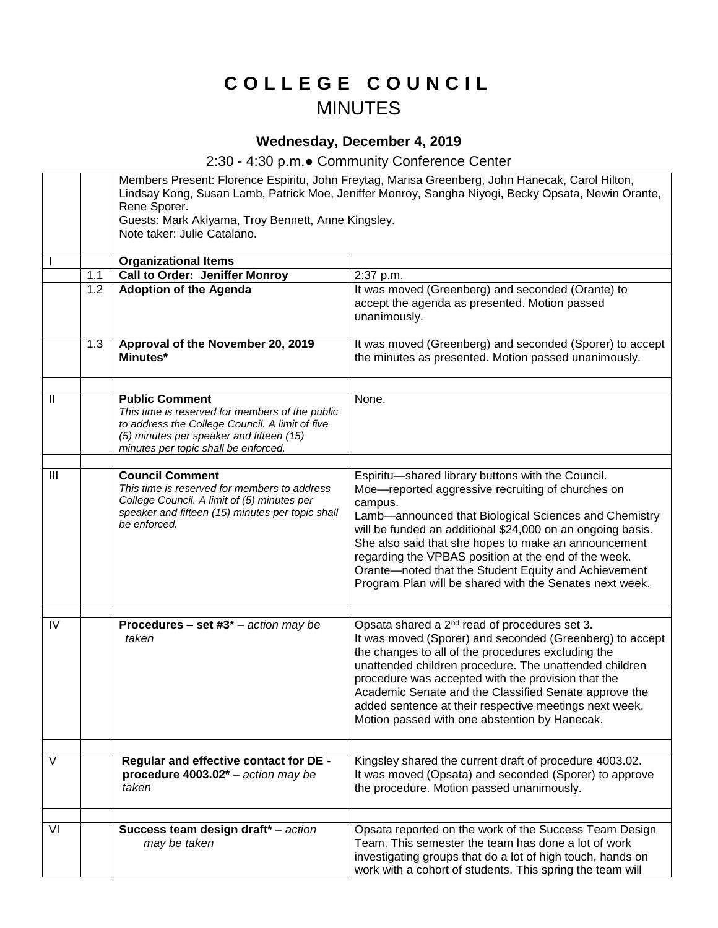## **C O L L E G E C O U N C I L** MINUTES

## **Wednesday, December 4, 2019**

## 2:30 - 4:30 p.m.● Community Conference Center

|                |     | Members Present: Florence Espiritu, John Freytag, Marisa Greenberg, John Hanecak, Carol Hilton,<br>Lindsay Kong, Susan Lamb, Patrick Moe, Jeniffer Monroy, Sangha Niyogi, Becky Opsata, Newin Orante,<br>Rene Sporer.<br>Guests: Mark Akiyama, Troy Bennett, Anne Kingsley.<br>Note taker: Julie Catalano. |                                                                                                                                                                                                                                                                                                                                                                                                                                                                             |
|----------------|-----|------------------------------------------------------------------------------------------------------------------------------------------------------------------------------------------------------------------------------------------------------------------------------------------------------------|-----------------------------------------------------------------------------------------------------------------------------------------------------------------------------------------------------------------------------------------------------------------------------------------------------------------------------------------------------------------------------------------------------------------------------------------------------------------------------|
|                |     | <b>Organizational Items</b>                                                                                                                                                                                                                                                                                |                                                                                                                                                                                                                                                                                                                                                                                                                                                                             |
|                | 1.1 | <b>Call to Order: Jeniffer Monroy</b>                                                                                                                                                                                                                                                                      | 2:37 p.m.                                                                                                                                                                                                                                                                                                                                                                                                                                                                   |
|                | 1.2 | <b>Adoption of the Agenda</b>                                                                                                                                                                                                                                                                              | It was moved (Greenberg) and seconded (Orante) to<br>accept the agenda as presented. Motion passed<br>unanimously.                                                                                                                                                                                                                                                                                                                                                          |
|                | 1.3 | Approval of the November 20, 2019<br>Minutes*                                                                                                                                                                                                                                                              | It was moved (Greenberg) and seconded (Sporer) to accept<br>the minutes as presented. Motion passed unanimously.                                                                                                                                                                                                                                                                                                                                                            |
| $\mathbf{H}$   |     | <b>Public Comment</b><br>This time is reserved for members of the public<br>to address the College Council. A limit of five<br>(5) minutes per speaker and fifteen (15)<br>minutes per topic shall be enforced.                                                                                            | None.                                                                                                                                                                                                                                                                                                                                                                                                                                                                       |
|                |     |                                                                                                                                                                                                                                                                                                            |                                                                                                                                                                                                                                                                                                                                                                                                                                                                             |
| $\mathbf{III}$ |     | <b>Council Comment</b><br>This time is reserved for members to address<br>College Council. A limit of (5) minutes per<br>speaker and fifteen (15) minutes per topic shall<br>be enforced.                                                                                                                  | Espiritu-shared library buttons with the Council.<br>Moe-reported aggressive recruiting of churches on<br>campus.<br>Lamb-announced that Biological Sciences and Chemistry<br>will be funded an additional \$24,000 on an ongoing basis.<br>She also said that she hopes to make an announcement<br>regarding the VPBAS position at the end of the week.<br>Orante-noted that the Student Equity and Achievement<br>Program Plan will be shared with the Senates next week. |
|                |     |                                                                                                                                                                                                                                                                                                            |                                                                                                                                                                                                                                                                                                                                                                                                                                                                             |
| IV             |     | <b>Procedures - set #3*</b> - action may be<br>taken                                                                                                                                                                                                                                                       | Opsata shared a 2 <sup>nd</sup> read of procedures set 3.<br>It was moved (Sporer) and seconded (Greenberg) to accept<br>the changes to all of the procedures excluding the<br>unattended children procedure. The unattended children<br>procedure was accepted with the provision that the<br>Academic Senate and the Classified Senate approve the<br>added sentence at their respective meetings next week.<br>Motion passed with one abstention by Hanecak.             |
|                |     |                                                                                                                                                                                                                                                                                                            |                                                                                                                                                                                                                                                                                                                                                                                                                                                                             |
| V              |     | Regular and effective contact for DE -<br>procedure $4003.02^*$ – action may be<br>taken                                                                                                                                                                                                                   | Kingsley shared the current draft of procedure 4003.02.<br>It was moved (Opsata) and seconded (Sporer) to approve<br>the procedure. Motion passed unanimously.                                                                                                                                                                                                                                                                                                              |
|                |     |                                                                                                                                                                                                                                                                                                            |                                                                                                                                                                                                                                                                                                                                                                                                                                                                             |
| VI             |     | Success team design draft* - action<br>may be taken                                                                                                                                                                                                                                                        | Opsata reported on the work of the Success Team Design<br>Team. This semester the team has done a lot of work<br>investigating groups that do a lot of high touch, hands on<br>work with a cohort of students. This spring the team will                                                                                                                                                                                                                                    |